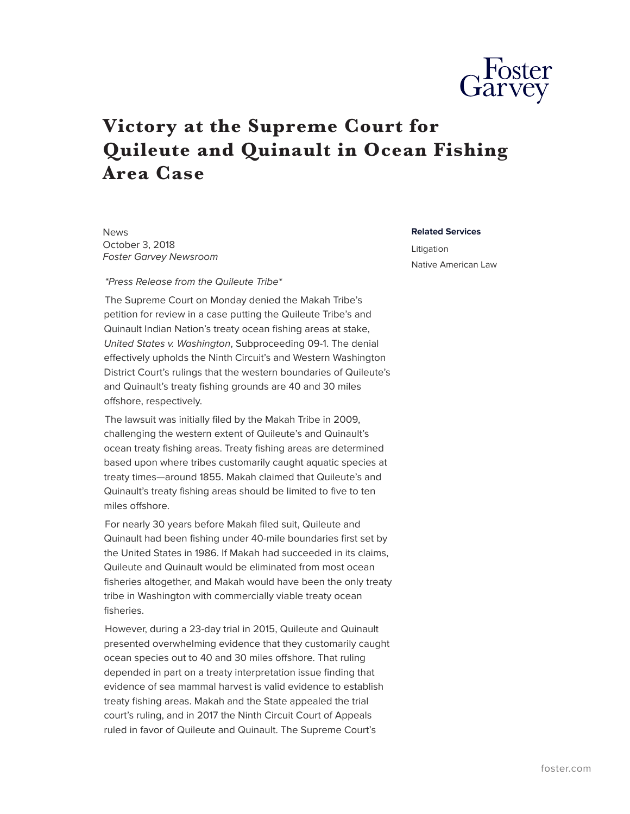

## **Victory at the Supreme Court for Quileute and Quinault in Ocean Fishing Area Case**

News October 3, 2018 *Foster Garvey Newsroom*

*\*Press Release from the Quileute Tribe\**

The Supreme Court on Monday denied the Makah Tribe's petition for review in a case putting the Quileute Tribe's and Quinault Indian Nation's treaty ocean fishing areas at stake, *United States v. Washington*, Subproceeding 09-1. The denial effectively upholds the Ninth Circuit's and Western Washington District Court's rulings that the western boundaries of Quileute's and Quinault's treaty fishing grounds are 40 and 30 miles offshore, respectively.

The lawsuit was initially filed by the Makah Tribe in 2009, challenging the western extent of Quileute's and Quinault's ocean treaty fishing areas. Treaty fishing areas are determined based upon where tribes customarily caught aquatic species at treaty times—around 1855. Makah claimed that Quileute's and Quinault's treaty fishing areas should be limited to five to ten miles offshore.

For nearly 30 years before Makah filed suit, Quileute and Quinault had been fishing under 40-mile boundaries first set by the United States in 1986. If Makah had succeeded in its claims, Quileute and Quinault would be eliminated from most ocean fisheries altogether, and Makah would have been the only treaty tribe in Washington with commercially viable treaty ocean fisheries.

However, during a 23-day trial in 2015, Quileute and Quinault presented overwhelming evidence that they customarily caught ocean species out to 40 and 30 miles offshore. That ruling depended in part on a treaty interpretation issue finding that evidence of sea mammal harvest is valid evidence to establish treaty fishing areas. Makah and the State appealed the trial court's ruling, and in 2017 the Ninth Circuit Court of Appeals ruled in favor of Quileute and Quinault. The Supreme Court's

**Related Services**

Litigation Native American Law